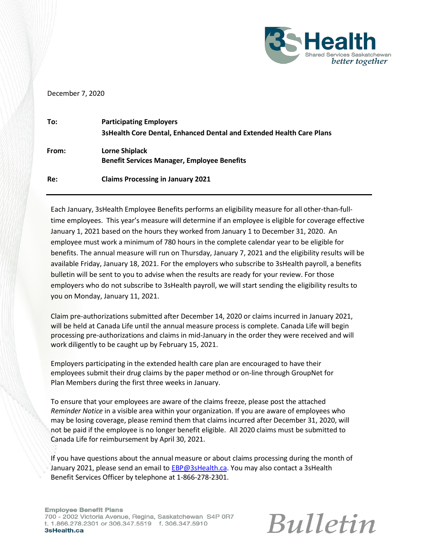

## December 7, 2020

| To:   | <b>Participating Employers</b><br>3sHealth Core Dental, Enhanced Dental and Extended Health Care Plans |
|-------|--------------------------------------------------------------------------------------------------------|
| From: | <b>Lorne Shiplack</b><br><b>Benefit Services Manager, Employee Benefits</b>                            |
| Re:   | <b>Claims Processing in January 2021</b>                                                               |

Each January, 3sHealth Employee Benefits performs an eligibility measure for all other-than-fulltime employees. This year's measure will determine if an employee is eligible for coverage effective January 1, 2021 based on the hours they worked from January 1 to December 31, 2020. An employee must work a minimum of 780 hours in the complete calendar year to be eligible for benefits. The annual measure will run on Thursday, January 7, 2021 and the eligibility results will be available Friday, January 18, 2021. For the employers who subscribe to 3sHealth payroll, a benefits bulletin will be sent to you to advise when the results are ready for your review. For those employers who do not subscribe to 3sHealth payroll, we will start sending the eligibility results to you on Monday, January 11, 2021.

Claim pre-authorizations submitted after December 14, 2020 or claims incurred in January 2021, will be held at Canada Life until the annual measure process is complete. Canada Life will begin processing pre-authorizations and claims in mid-January in the order they were received and will work diligently to be caught up by February 15, 2021.

Employers participating in the extended health care plan are encouraged to have their employees submit their drug claims by the paper method or on-line through GroupNet for Plan Members during the first three weeks in January.

To ensure that your employees are aware of the claims freeze, please post the attached *Reminder Notice* in a visible area within your organization. If you are aware of employees who may be losing coverage, please remind them that claims incurred after December 31, 2020, will not be paid if the employee is no longer benefit eligible. All 2020 claims must be submitted to Canada Life for reimbursement by April 30, 2021.

If you have questions about the annual measure or about claims processing during the month of January 2021, please send an email to [EBP@3sHealth.ca. Y](mailto:EBP@3sHealth.ca)ou may also contact a 3sHealth Benefit Services Officer by telephone at 1-866-278-2301.